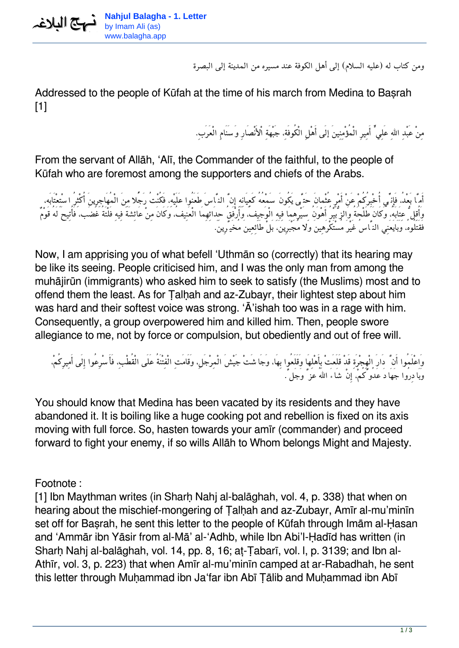

*ومن كتاب له (عليه السلام) إلى أهل الكوفة عند مسيره من المدينة إلى البصرة*

Addressed to the people of Kūfah at the time of his march from Medina to Basrah [1]

*مِنْ عَبْدِ االلهِ عَلِيٍّ أَمِيرِ الْمُؤْمِنِينَ إلَى أَهْلِ الْكُوفَة،ِ جَبْهَةِ اْلأَنْصَارِ وَسَنَامِ الْعَرَب.ِ*

From the servant of Allāh, 'Alī, the Commander of the faithful, to the people of Kūfah who are foremost among the supporters and chiefs of the Arabs.

*أَمَّا بَعْد،ُ فَإِنِّي أُخْبِرُكُمْ عَنْ أَمْرِ عُثْمانَ حَتَّى يَكُونَ سَمْعُهُ كَعِيَانِهِ إِنَّ النَّاسَ طَعَنُوا عَلَيْه،ِ فَكُنْتُ رَجًُلا مِنَ الْمُهَاجِرِينَ أُكْثِرُ اسْتِعْتَابَه، وَأُقِلُّ عِتَابَه،ُ وَكَانَ طَلْحَةُ وَالزُّبَيْرُ أَهْوَنُ سَيْرِهِمَا فِيهِ الْوَجيِف،ُ وَأَرْفَقُ حِدَائِهِمَا الْعَنِيف،ُ وَكَانَ مِنْ عَائِشَةَ فِيهِ فَلْتَةُ غَضَب، فَأُتِيحَ لَهُ قَوْمٌ فَقَتَلُوه،ُ وَبَايَعَنِي النَّاسُ غَيْرَ مُسْتَكْرَهِينَ وَلا مُجْبَرِين،َ بَلْ طَائِعِينَ مُخَيَّرِين.َ*

Now, I am apprising you of what befell 'Uthmān so (correctly) that its hearing may be like its seeing. People criticised him, and I was the only man from among the muhājirūn (immigrants) who asked him to seek to satisfy (the Muslims) most and to offend them the least. As for Talhah and az-Zubayr, their lightest step about him was hard and their softest voice was strong. 'Ā'ishah too was in a rage with him. Consequently, a group overpowered him and killed him. Then, people swore allegiance to me, not by force or compulsion, but obediently and out of free will.

*وَاعْلَمُوا أَنَّ دَارَ الْهِجْرَةِ قَدْ قَلَعَتْ بِأَهْلِهَا وَقَلَعُوا بِهَا، وَجَاشَتْ جَيْشَ الْمِرْجَل،ِ وَقَامَتِ الْفِتْنَةُ عَلَى الْقُطْب،ِ فَأَسْرِعُوا إِلَى أَمِيرِكُم،ْ وَبَادِرُوا جَهَادَ عَدُوِّكُم،ْ إِنْ شَاءَ االلهُ عزَّ وَجَلَّ.*

You should know that Medina has been vacated by its residents and they have abandoned it. It is boiling like a huge cooking pot and rebellion is fixed on its axis moving with full force. So, hasten towards your amīr (commander) and proceed forward to fight your enemy, if so wills Allāh to Whom belongs Might and Majesty.

Footnote :

[1] Ibn Maythman writes (in Sharh Nahj al-balāghah, vol. 4, p. 338) that when on hearing about the mischief-mongering of Talhah and az-Zubayr, Amīr al-mu'minīn set off for Basrah, he sent this letter to the people of Kūfah through Imām al-Hasan and 'Ammār ibn Yāsir from al-Mā' al-'Adhb, while Ibn Abi'l-Ḥadīd has written (in Sharh Nahi al-balāghah, vol. 14, pp. 8, 16; at-Tabarī, vol. I, p. 3139; and Ibn al-Athīr, vol. 3, p. 223) that when Amīr al-mu'minīn camped at ar-Rabadhah, he sent this letter through Muḥammad ibn Ja'far ibn Abī Ṭālib and Muḥammad ibn Abī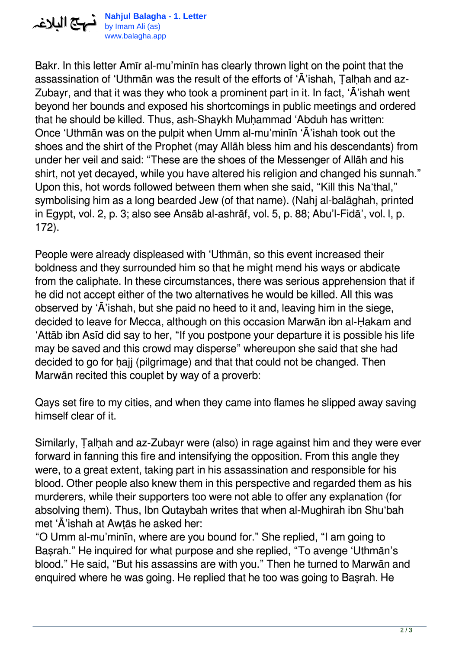

**Nahjul Balagha - 1. Letter** by Imam Ali (as) www.balagha.app

Bakr. In this letter Amīr al-mu'minīn has clearly thrown light on the point that the assassination of 'Uthmān was the result of the efforts of 'Ā'ishah, Ṭalḥah and az-Zubayr, and that it was they who took a prominent part in it. In fact, 'Ā'ishah went beyond her bounds and exposed his shortcomings in public meetings and ordered that he should be killed. Thus, ash-Shaykh Muhammad 'Abduh has written: Once 'Uthmān was on the pulpit when Umm al-mu'minīn 'Ā'ishah took out the shoes and the shirt of the Prophet (may Allāh bless him and his descendants) from under her veil and said: "These are the shoes of the Messenger of Allāh and his shirt, not yet decayed, while you have altered his religion and changed his sunnah." Upon this, hot words followed between them when she said, "Kill this Na'thal," symbolising him as a long bearded Jew (of that name). (Nahj al-balāghah, printed in Egypt, vol. 2, p. 3; also see Ansāb al-ashrāf, vol. 5, p. 88; Abu'l-Fidā', vol. l, p. 172).

People were already displeased with 'Uthmān, so this event increased their boldness and they surrounded him so that he might mend his ways or abdicate from the caliphate. In these circumstances, there was serious apprehension that if he did not accept either of the two alternatives he would be killed. All this was observed by 'Ā'ishah, but she paid no heed to it and, leaving him in the siege, decided to leave for Mecca, although on this occasion Marwān ibn al-Ḥakam and 'Attāb ibn Asīd did say to her, "If you postpone your departure it is possible his life may be saved and this crowd may disperse" whereupon she said that she had decided to go for hajj (pilgrimage) and that that could not be changed. Then Marwān recited this couplet by way of a proverb:

Qays set fire to my cities, and when they came into flames he slipped away saving himself clear of it.

Similarly, Ṭalḥah and az-Zubayr were (also) in rage against him and they were ever forward in fanning this fire and intensifying the opposition. From this angle they were, to a great extent, taking part in his assassination and responsible for his blood. Other people also knew them in this perspective and regarded them as his murderers, while their supporters too were not able to offer any explanation (for absolving them). Thus, Ibn Qutaybah writes that when al-Mughirah ibn Shu'bah met 'Ā'ishah at Awṭās he asked her:

"O Umm al-mu'minīn, where are you bound for." She replied, "I am going to Basrah." He inquired for what purpose and she replied, "To avenge 'Uthmān's blood." He said, "But his assassins are with you." Then he turned to Marwān and enquired where he was going. He replied that he too was going to Basrah. He